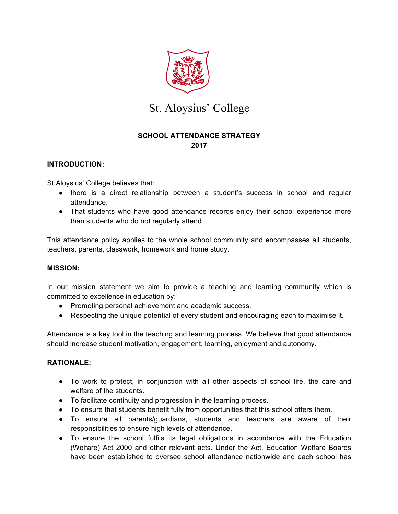

# St. Aloysius' College

## **SCHOOL ATTENDANCE STRATEGY 2017**

### **INTRODUCTION:**

St Aloysius' College believes that:

- there is a direct relationship between a student's success in school and regular attendance.
- That students who have good attendance records enjoy their school experience more than students who do not regularly attend.

This attendance policy applies to the whole school community and encompasses all students, teachers, parents, classwork, homework and home study.

#### **MISSION:**

In our mission statement we aim to provide a teaching and learning community which is committed to excellence in education by:

- Promoting personal achievement and academic success.
- Respecting the unique potential of every student and encouraging each to maximise it.

Attendance is a key tool in the teaching and learning process. We believe that good attendance should increase student motivation, engagement, learning, enjoyment and autonomy.

#### **RATIONALE:**

- To work to protect, in conjunction with all other aspects of school life, the care and welfare of the students.
- To facilitate continuity and progression in the learning process.
- To ensure that students benefit fully from opportunities that this school offers them.
- To ensure all parents/guardians, students and teachers are aware of their responsibilities to ensure high levels of attendance.
- To ensure the school fulfils its legal obligations in accordance with the Education (Welfare) Act 2000 and other relevant acts. Under the Act, Education Welfare Boards have been established to oversee school attendance nationwide and each school has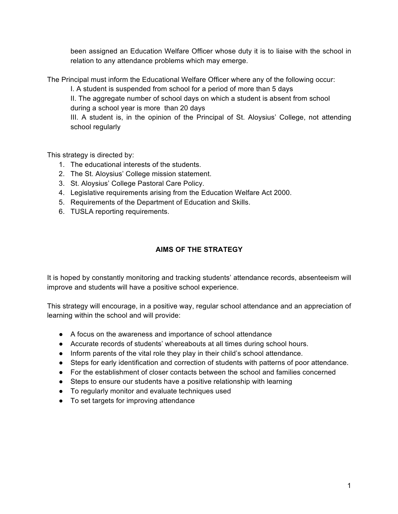been assigned an Education Welfare Officer whose duty it is to liaise with the school in relation to any attendance problems which may emerge.

The Principal must inform the Educational Welfare Officer where any of the following occur:

I. A student is suspended from school for a period of more than 5 days

II. The aggregate number of school days on which a student is absent from school during a school year is more than 20 days

III. A student is, in the opinion of the Principal of St. Aloysius' College, not attending school regularly

This strategy is directed by:

- 1. The educational interests of the students.
- 2. The St. Aloysius' College mission statement.
- 3. St. Aloysius' College Pastoral Care Policy.
- 4. Legislative requirements arising from the Education Welfare Act 2000.
- 5. Requirements of the Department of Education and Skills.
- 6. TUSLA reporting requirements.

### **AIMS OF THE STRATEGY**

It is hoped by constantly monitoring and tracking students' attendance records, absenteeism will improve and students will have a positive school experience.

This strategy will encourage, in a positive way, regular school attendance and an appreciation of learning within the school and will provide:

- A focus on the awareness and importance of school attendance
- Accurate records of students' whereabouts at all times during school hours.
- Inform parents of the vital role they play in their child's school attendance.
- Steps for early identification and correction of students with patterns of poor attendance.
- For the establishment of closer contacts between the school and families concerned
- Steps to ensure our students have a positive relationship with learning
- To regularly monitor and evaluate techniques used
- To set targets for improving attendance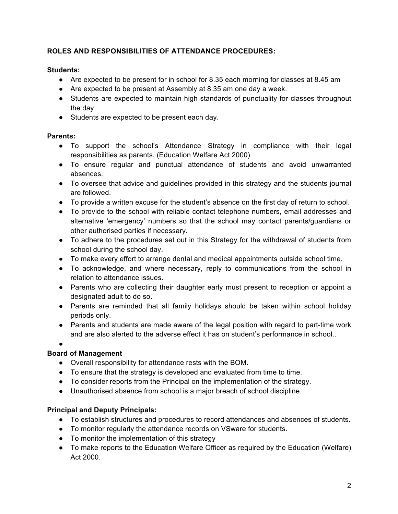### **ROLES AND RESPONSIBILITIES OF ATTENDANCE PROCEDURES:**

### **Students:**

- Are expected to be present for in school for 8.35 each morning for classes at 8.45 am
- Are expected to be present at Assembly at 8.35 am one day a week.
- Students are expected to maintain high standards of punctuality for classes throughout the day.
- Students are expected to be present each day.

## **Parents:**

- To support the school's Attendance Strategy in compliance with their legal responsibilities as parents. (Education Welfare Act 2000)
- To ensure regular and punctual attendance of students and avoid unwarranted absences.
- To oversee that advice and guidelines provided in this strategy and the students journal are followed.
- To provide a written excuse for the student's absence on the first day of return to school.
- To provide to the school with reliable contact telephone numbers, email addresses and alternative 'emergency' numbers so that the school may contact parents/guardians or other authorised parties if necessary.
- To adhere to the procedures set out in this Strategy for the withdrawal of students from school during the school day.
- To make every effort to arrange dental and medical appointments outside school time.
- To acknowledge, and where necessary, reply to communications from the school in relation to attendance issues.
- Parents who are collecting their daughter early must present to reception or appoint a designated adult to do so.
- Parents are reminded that all family holidays should be taken within school holiday periods only.
- Parents and students are made aware of the legal position with regard to part-time work and are also alerted to the adverse effect it has on student's performance in school..
- ●

# **Board of Management**

- Overall responsibility for attendance rests with the BOM.
- To ensure that the strategy is developed and evaluated from time to time.
- To consider reports from the Principal on the implementation of the strategy.
- Unauthorised absence from school is a major breach of school discipline.

# **Principal and Deputy Principals:**

- To establish structures and procedures to record attendances and absences of students.
- To monitor regularly the attendance records on VSware for students.
- To monitor the implementation of this strategy
- To make reports to the Education Welfare Officer as required by the Education (Welfare) Act 2000.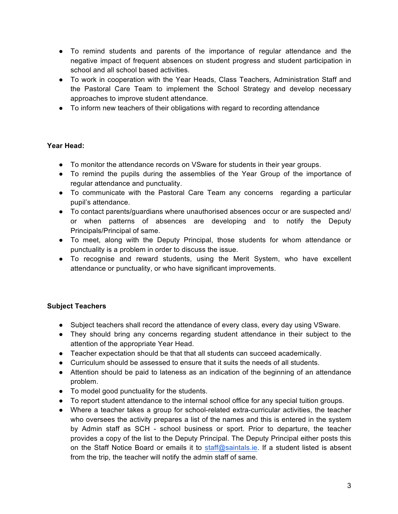- To remind students and parents of the importance of regular attendance and the negative impact of frequent absences on student progress and student participation in school and all school based activities.
- To work in cooperation with the Year Heads, Class Teachers, Administration Staff and the Pastoral Care Team to implement the School Strategy and develop necessary approaches to improve student attendance.
- To inform new teachers of their obligations with regard to recording attendance

### **Year Head:**

- To monitor the attendance records on VSware for students in their year groups.
- To remind the pupils during the assemblies of the Year Group of the importance of regular attendance and punctuality.
- To communicate with the Pastoral Care Team any concerns regarding a particular pupil's attendance.
- To contact parents/guardians where unauthorised absences occur or are suspected and/ or when patterns of absences are developing and to notify the Deputy Principals/Principal of same.
- To meet, along with the Deputy Principal, those students for whom attendance or punctuality is a problem in order to discuss the issue.
- To recognise and reward students, using the Merit System, who have excellent attendance or punctuality, or who have significant improvements.

### **Subject Teachers**

- Subject teachers shall record the attendance of every class, every day using VSware.
- They should bring any concerns regarding student attendance in their subject to the attention of the appropriate Year Head.
- Teacher expectation should be that that all students can succeed academically.
- Curriculum should be assessed to ensure that it suits the needs of all students.
- Attention should be paid to lateness as an indication of the beginning of an attendance problem.
- To model good punctuality for the students.
- To report student attendance to the internal school office for any special tuition groups.
- Where a teacher takes a group for school-related extra-curricular activities, the teacher who oversees the activity prepares a list of the names and this is entered in the system by Admin staff as SCH - school business or sport. Prior to departure, the teacher provides a copy of the list to the Deputy Principal. The Deputy Principal either posts this on the Staff Notice Board or emails it to staff@saintals.ie. If a student listed is absent from the trip, the teacher will notify the admin staff of same.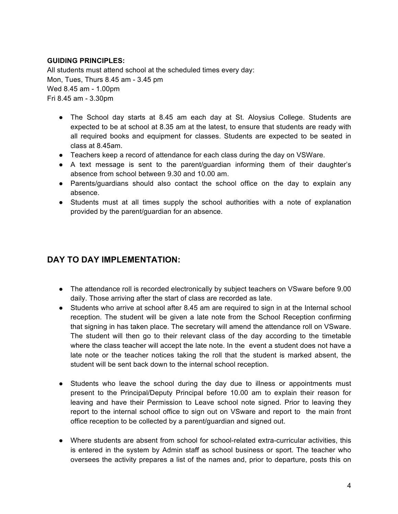### **GUIDING PRINCIPLES:**

All students must attend school at the scheduled times every day: Mon, Tues, Thurs 8.45 am - 3.45 pm Wed 8.45 am - 1.00pm Fri 8.45 am - 3.30pm

- The School day starts at 8.45 am each day at St. Aloysius College. Students are expected to be at school at 8.35 am at the latest, to ensure that students are ready with all required books and equipment for classes. Students are expected to be seated in class at 8.45am.
- Teachers keep a record of attendance for each class during the day on VSWare.
- A text message is sent to the parent/guardian informing them of their daughter's absence from school between 9.30 and 10.00 am.
- Parents/guardians should also contact the school office on the day to explain any absence.
- Students must at all times supply the school authorities with a note of explanation provided by the parent/guardian for an absence.

# **DAY TO DAY IMPLEMENTATION:**

- The attendance roll is recorded electronically by subject teachers on VSware before 9.00 daily. Those arriving after the start of class are recorded as late.
- Students who arrive at school after 8.45 am are required to sign in at the Internal school reception. The student will be given a late note from the School Reception confirming that signing in has taken place. The secretary will amend the attendance roll on VSware. The student will then go to their relevant class of the day according to the timetable where the class teacher will accept the late note. In the event a student does not have a late note or the teacher notices taking the roll that the student is marked absent, the student will be sent back down to the internal school reception.
- Students who leave the school during the day due to illness or appointments must present to the Principal/Deputy Principal before 10.00 am to explain their reason for leaving and have their Permission to Leave school note signed. Prior to leaving they report to the internal school office to sign out on VSware and report to the main front office reception to be collected by a parent/guardian and signed out.
- Where students are absent from school for school-related extra-curricular activities, this is entered in the system by Admin staff as school business or sport. The teacher who oversees the activity prepares a list of the names and, prior to departure, posts this on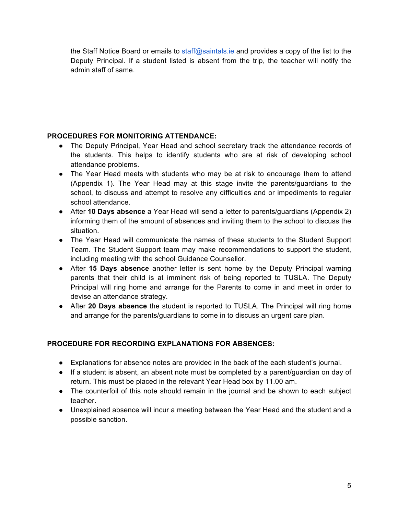the Staff Notice Board or emails to staff@saintals.ie and provides a copy of the list to the Deputy Principal. If a student listed is absent from the trip, the teacher will notify the admin staff of same.

## **PROCEDURES FOR MONITORING ATTENDANCE:**

- The Deputy Principal, Year Head and school secretary track the attendance records of the students. This helps to identify students who are at risk of developing school attendance problems.
- The Year Head meets with students who may be at risk to encourage them to attend (Appendix 1). The Year Head may at this stage invite the parents/guardians to the school, to discuss and attempt to resolve any difficulties and or impediments to regular school attendance.
- After **10 Days absence** a Year Head will send a letter to parents/guardians (Appendix 2) informing them of the amount of absences and inviting them to the school to discuss the situation.
- The Year Head will communicate the names of these students to the Student Support Team. The Student Support team may make recommendations to support the student, including meeting with the school Guidance Counsellor.
- After **15 Days absence** another letter is sent home by the Deputy Principal warning parents that their child is at imminent risk of being reported to TUSLA. The Deputy Principal will ring home and arrange for the Parents to come in and meet in order to devise an attendance strategy.
- After **20 Days absence** the student is reported to TUSLA. The Principal will ring home and arrange for the parents/guardians to come in to discuss an urgent care plan.

# **PROCEDURE FOR RECORDING EXPLANATIONS FOR ABSENCES:**

- Explanations for absence notes are provided in the back of the each student's journal.
- If a student is absent, an absent note must be completed by a parent/guardian on day of return. This must be placed in the relevant Year Head box by 11.00 am.
- The counterfoil of this note should remain in the journal and be shown to each subject teacher.
- Unexplained absence will incur a meeting between the Year Head and the student and a possible sanction.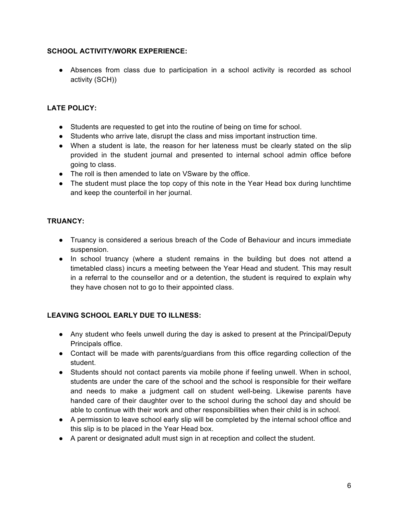### **SCHOOL ACTIVITY/WORK EXPERIENCE:**

● Absences from class due to participation in a school activity is recorded as school activity (SCH))

### **LATE POLICY:**

- Students are requested to get into the routine of being on time for school.
- Students who arrive late, disrupt the class and miss important instruction time.
- When a student is late, the reason for her lateness must be clearly stated on the slip provided in the student journal and presented to internal school admin office before going to class.
- The roll is then amended to late on VSware by the office.
- The student must place the top copy of this note in the Year Head box during lunchtime and keep the counterfoil in her journal.

### **TRUANCY:**

- Truancy is considered a serious breach of the Code of Behaviour and incurs immediate suspension.
- In school truancy (where a student remains in the building but does not attend a timetabled class) incurs a meeting between the Year Head and student. This may result in a referral to the counsellor and or a detention, the student is required to explain why they have chosen not to go to their appointed class.

### **LEAVING SCHOOL EARLY DUE TO ILLNESS:**

- Any student who feels unwell during the day is asked to present at the Principal/Deputy Principals office.
- Contact will be made with parents/guardians from this office regarding collection of the student.
- Students should not contact parents via mobile phone if feeling unwell. When in school, students are under the care of the school and the school is responsible for their welfare and needs to make a judgment call on student well-being. Likewise parents have handed care of their daughter over to the school during the school day and should be able to continue with their work and other responsibilities when their child is in school.
- A permission to leave school early slip will be completed by the internal school office and this slip is to be placed in the Year Head box.
- A parent or designated adult must sign in at reception and collect the student.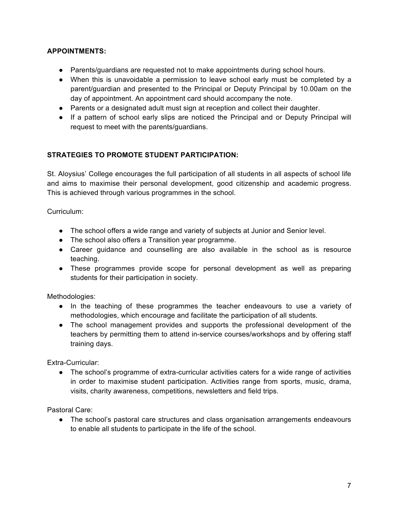### **APPOINTMENTS:**

- Parents/guardians are requested not to make appointments during school hours.
- When this is unavoidable a permission to leave school early must be completed by a parent/guardian and presented to the Principal or Deputy Principal by 10.00am on the day of appointment. An appointment card should accompany the note.
- Parents or a designated adult must sign at reception and collect their daughter.
- If a pattern of school early slips are noticed the Principal and or Deputy Principal will request to meet with the parents/guardians.

# **STRATEGIES TO PROMOTE STUDENT PARTICIPATION:**

St. Aloysius' College encourages the full participation of all students in all aspects of school life and aims to maximise their personal development, good citizenship and academic progress. This is achieved through various programmes in the school.

Curriculum:

- The school offers a wide range and variety of subjects at Junior and Senior level.
- The school also offers a Transition year programme.
- Career guidance and counselling are also available in the school as is resource teaching.
- These programmes provide scope for personal development as well as preparing students for their participation in society.

Methodologies:

- In the teaching of these programmes the teacher endeavours to use a variety of methodologies, which encourage and facilitate the participation of all students.
- The school management provides and supports the professional development of the teachers by permitting them to attend in-service courses/workshops and by offering staff training days.

Extra-Curricular:

• The school's programme of extra-curricular activities caters for a wide range of activities in order to maximise student participation. Activities range from sports, music, drama, visits, charity awareness, competitions, newsletters and field trips.

Pastoral Care:

• The school's pastoral care structures and class organisation arrangements endeavours to enable all students to participate in the life of the school.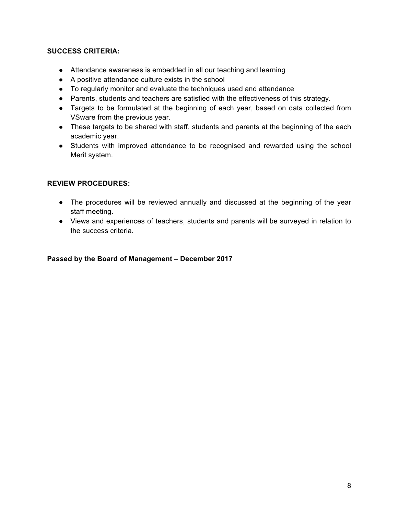### **SUCCESS CRITERIA:**

- Attendance awareness is embedded in all our teaching and learning
- A positive attendance culture exists in the school
- To regularly monitor and evaluate the techniques used and attendance
- Parents, students and teachers are satisfied with the effectiveness of this strategy.
- Targets to be formulated at the beginning of each year, based on data collected from VSware from the previous year.
- These targets to be shared with staff, students and parents at the beginning of the each academic year.
- Students with improved attendance to be recognised and rewarded using the school Merit system.

### **REVIEW PROCEDURES:**

- The procedures will be reviewed annually and discussed at the beginning of the year staff meeting.
- Views and experiences of teachers, students and parents will be surveyed in relation to the success criteria.

#### **Passed by the Board of Management – December 2017**